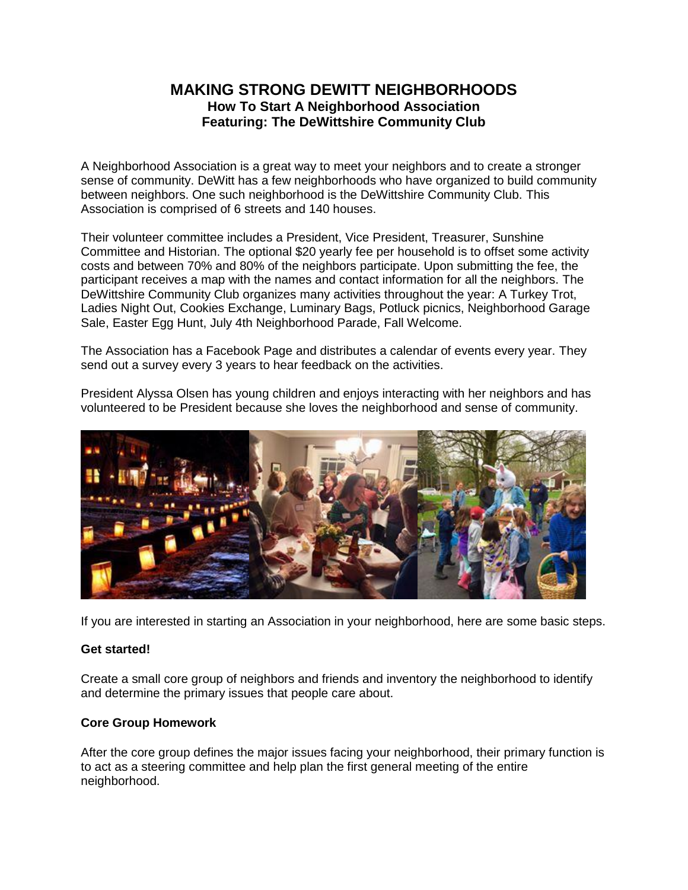# **MAKING STRONG DEWITT NEIGHBORHOODS How To Start A Neighborhood Association Featuring: The DeWittshire Community Club**

A Neighborhood Association is a great way to meet your neighbors and to create a stronger sense of community. DeWitt has a few neighborhoods who have organized to build community between neighbors. One such neighborhood is the DeWittshire Community Club. This Association is comprised of 6 streets and 140 houses.

Their volunteer committee includes a President, Vice President, Treasurer, Sunshine Committee and Historian. The optional \$20 yearly fee per household is to offset some activity costs and between 70% and 80% of the neighbors participate. Upon submitting the fee, the participant receives a map with the names and contact information for all the neighbors. The DeWittshire Community Club organizes many activities throughout the year: A Turkey Trot, Ladies Night Out, Cookies Exchange, Luminary Bags, Potluck picnics, Neighborhood Garage Sale, Easter Egg Hunt, July 4th Neighborhood Parade, Fall Welcome.

The Association has a Facebook Page and distributes a calendar of events every year. They send out a survey every 3 years to hear feedback on the activities.

President Alyssa Olsen has young children and enjoys interacting with her neighbors and has volunteered to be President because she loves the neighborhood and sense of community.



If you are interested in starting an Association in your neighborhood, here are some basic steps.

### **Get started!**

Create a small core group of neighbors and friends and inventory the neighborhood to identify and determine the primary issues that people care about.

# **Core Group Homework**

After the core group defines the major issues facing your neighborhood, their primary function is to act as a steering committee and help plan the first general meeting of the entire neighborhood.